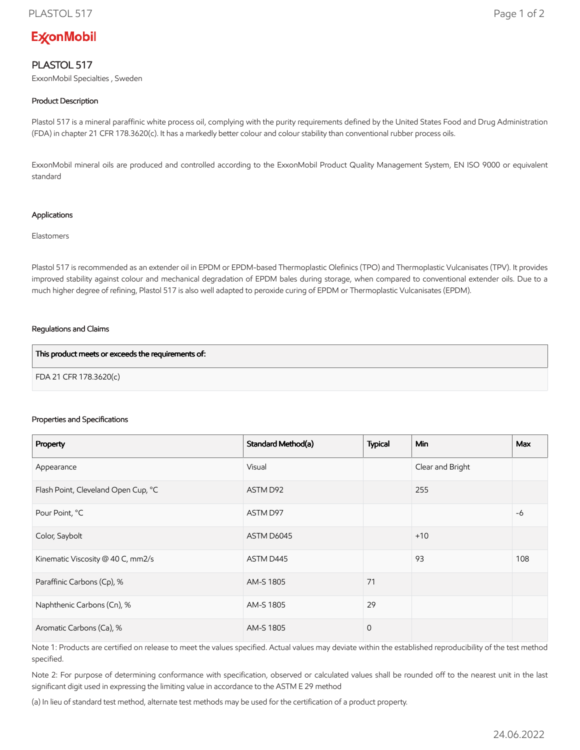# **ExconMobil**

## PLASTOL 517

ExxonMobil Specialties , Sweden

### Product Description

Plastol 517 is a mineral paraffinic white process oil, complying with the purity requirements defined by the United States Food and Drug Administration (FDA) in chapter 21 CFR 178.3620(c). It has a markedly better colour and colour stability than conventional rubber process oils.

ExxonMobil mineral oils are produced and controlled according to the ExxonMobil Product Quality Management System, EN ISO 9000 or equivalent standard

#### Applications

Elastomers

Plastol 517 is recommended as an extender oil in EPDM or EPDM-based Thermoplastic Olefinics (TPO) and Thermoplastic Vulcanisates (TPV). It provides improved stability against colour and mechanical degradation of EPDM bales during storage, when compared to conventional extender oils. Due to a much higher degree of refining, Plastol 517 is also well adapted to peroxide curing of EPDM or Thermoplastic Vulcanisates (EPDM).

#### Regulations and Claims

| This product meets or exceeds the requirements of: |  |
|----------------------------------------------------|--|
| FDA 21 CFR 178.3620(c)                             |  |

#### Properties and Specifications

| Property                            | Standard Method(a) | <b>Typical</b> | <b>Min</b>       | <b>Max</b> |
|-------------------------------------|--------------------|----------------|------------------|------------|
| Appearance                          | Visual             |                | Clear and Bright |            |
| Flash Point, Cleveland Open Cup, °C | ASTM D92           |                | 255              |            |
| Pour Point, °C                      | ASTM D97           |                |                  | $-6$       |
| Color, Saybolt                      | ASTM D6045         |                | $+10$            |            |
| Kinematic Viscosity @ 40 C, mm2/s   | ASTM D445          |                | 93               | 108        |
| Paraffinic Carbons (Cp), %          | AM-S 1805          | 71             |                  |            |
| Naphthenic Carbons (Cn), %          | AM-S 1805          | 29             |                  |            |
| Aromatic Carbons (Ca), %            | AM-S 1805          | $\overline{0}$ |                  |            |

Note 1: Products are certified on release to meet the values specified. Actual values may deviate within the established reproducibility of the test method specified.

Note 2: For purpose of determining conformance with specification, observed or calculated values shall be rounded off to the nearest unit in the last significant digit used in expressing the limiting value in accordance to the ASTM E 29 method

(a) In lieu of standard test method, alternate test methods may be used for the certification of a product property.